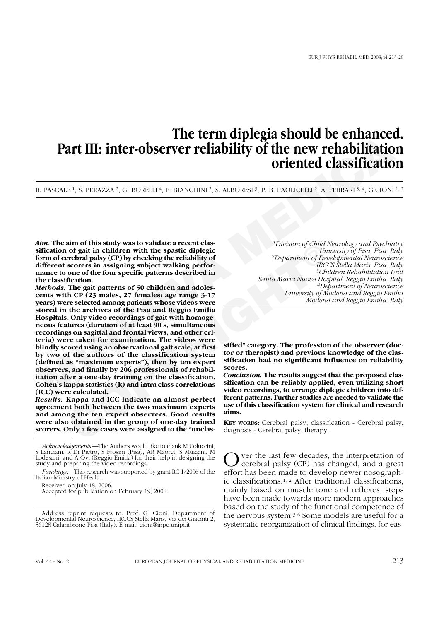# **The term diplegia should be enhanced. Part III: inter-observer reliability of the new rehabilitation oriented classification**

R. PASCALE<sup>1</sup>, S. PERAZZA<sup>2</sup>, G. BORELLI<sup>4</sup>, E. BIANCHINI<sup>2</sup>, S. ALBORESI<sup>3</sup>, P. B. PAOLICELLI<sup>2</sup>, A. FERRARI<sup>3, 4</sup>, G.CIONI<sup>1,2</sup>

*Aim.* **The aim of this study was to validate a recent classification of gait in children with the spastic diplegic form of cerebral palsy (CP) by checking the reliability of different scorers in assigning subject walking performance to one of the four specific patterns described in the classification.** 

**PART III: inter-observer reliability of the new rehabilitation**<br> **PART III: inter-observer reliability of the new rehabilitation**<br> **CONSERVATES ARENTS ANDERS ANDERS ARENTS ARENTS ARENTS ARENTS AND CONSERVATE CONSERVATE A** ann or this study was to valuate a recent case<br>
or of gait in children with the spastic diplegic<br>
cord gait in children with the spastic diplegic<br>
scores in assigning subject valking performed and *SChe*<br>
scores in assigni *Methods.* **The gait patterns of 50 children and adolescents with CP (23 males, 27 females; age range 3-17 years) were selected among patients whose videos were stored in the archives of the Pisa and Reggio Emilia Hospitals. Only video recordings of gait with homogeneous features (duration of at least 90 s, simultaneous recordings on sagittal and frontal views, and other criteria) were taken for examination. The videos were blindly scored using an observational gait scale, at first by two of the authors of the classification system (defined as "maximum experts"), then by ten expert observers, and finally by 206 professionals of rehabilitation after a one-day training on the classification. Cohen's kappa statistics (k) and intra class correlations (ICC) were calculated.**

*Results.* **Kappa and ICC indicate an almost perfect agreement both between the two maximum experts and among the ten expert observers. Good results were also obtained in the group of one-day trained scorers. Only a few cases were assigned to the "unclas-**

Received on July 18, 2006.

Accepted for publication on February 19, 2008.

*1Division of Child Neurology and Psychiatry University of Pisa, Pisa, Italy 2Department of Developmental Neuroscience IRCCS Stella Maris, Pisa, Italy 3Children Rehabilitation Unit Santa Maria Nuova Hospital, Reggio Emilia, Italy 4Department of Neuroscience University of Modena and Reggio Emilia Modena and Reggio Emilia, Italy*

**sified" category. The profession of the observer (doctor or therapist) and previous knowledge of the classification had no significant influence on reliability scores.** 

*Conclusion.* **The results suggest that the proposed classification can be reliably applied, even utilizing short video recordings, to arrange diplegic children into different patterns. Further studies are needed to validate the use of this classification system for clinical and research aims.**

**KEY WORDS:** Cerebral palsy, classification - Cerebral palsy, diagnosis - Cerebral palsy, therapy.

Over the last few decades, the interpretation of<br>cerebral palsy (CP) has changed, and a great effort has been made to develop newer nosographic classifications.1, 2 After traditional classifications, mainly based on muscle tone and reflexes, steps have been made towards more modern approaches based on the study of the functional competence of the nervous system.3-6 Some models are useful for a systematic reorganization of clinical findings, for eas-

*Acknowledgements.*—The Authors would like to thank M Coluccini, S Lanciani, R Di Pietro, S Frosini (Pisa), AR Maoret, S Muzzini, M Lodesani, and A Ovi (Reggio Emilia) for their help in designing the study and preparing the video recordings.

*Fundings.*—This research was supported by grant RC 1/2006 of the Italian Ministry of Health.

Address reprint requests to: Prof. G. Cioni, Department of Developmental Neuroscience, IRCCS Stella Maris, Via dei Giacinti 2, 56128 Calambrone Pisa (Italy). E-mail: cioni@inpe.unipi.it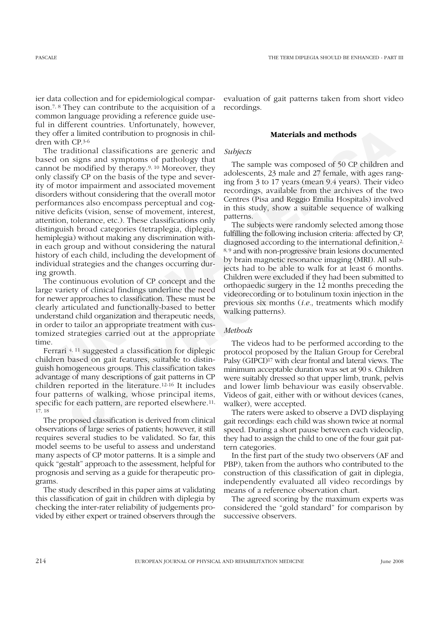ier data collection and for epidemiological comparison.7, 8 They can contribute to the acquisition of a common language providing a reference guide useful in different countries. Unfortunately, however, they offer a limited contribution to prognosis in children with CP.3-6

**Example the state of the state of the state of the state of the state of the state of the state of the state of the state of the state of the state of the state of the state of the state of the state of the state of the s** The traditional classifications are generic and based on signs and symptoms of pathology that cannot be modified by therapy.9, 10 Moreover, they only classify CP on the basis of the type and severity of motor impairment and associated movement disorders without considering that the overall motor performances also encompass perceptual and cognitive deficits (vision, sense of movement, interest, attention, tolerance, etc.). These classifications only distinguish broad categories (tetraplegia, diplegia, hemiplegia) without making any discrimination within each group and without considering the natural history of each child, including the development of individual strategies and the changes occurring during growth.

(a) without making any discrimination with-<br>
diagnosed according to the int<br>
f each child, including the development of<br>
<sup>8,9</sup> and with non-progressive bra<br>
diagnosed according to the int<br>
diagnosed according to the int<br>
o The continuous evolution of CP concept and the large variety of clinical findings underline the need for newer approaches to classification. These must be clearly articulated and functionally-based to better understand child organization and therapeutic needs, in order to tailor an appropriate treatment with customized strategies carried out at the appropriate time.

Ferrari 4, 11 suggested a classification for diplegic children based on gait features, suitable to distinguish homogeneous groups. This classification takes advantage of many descriptions of gait patterns in CP children reported in the literature.12-16 It includes four patterns of walking, whose principal items, specific for each pattern, are reported elsewhere.<sup>11,</sup> 17, 18

The proposed classification is derived from clinical observations of large series of patients; however, it still requires several studies to be validated. So far, this model seems to be useful to assess and understand many aspects of CP motor patterns. It is a simple and quick "gestalt" approach to the assessment, helpful for prognosis and serving as a guide for therapeutic programs.

The study described in this paper aims at validating this classification of gait in children with diplegia by checking the inter-rater reliability of judgements provided by either expert or trained observers through the evaluation of gait patterns taken from short video recordings.

## **Materials and methods**

#### *Subjects*

The sample was composed of 50 CP children and adolescents, 23 male and 27 female, with ages ranging from 3 to 17 years (mean 9.4 years). Their video recordings, available from the archives of the two Centres (Pisa and Reggio Emilia Hospitals) involved in this study, show a suitable sequence of walking patterns.

The subjects were randomly selected among those fulfilling the following inclusion criteria: affected by CP, diagnosed according to the international definition,<sup>2,</sup> 8, 9 and with non-progressive brain lesions documented by brain magnetic resonance imaging (MRI). All subjects had to be able to walk for at least 6 months. Children were excluded if they had been submitted to orthopaedic surgery in the 12 months preceding the videorecording or to botulinum toxin injection in the previous six months (*i.e.*, treatments which modify walking patterns).

#### *Methods*

The videos had to be performed according to the protocol proposed by the Italian Group for Cerebral Palsy (GIPCI)<sup>17</sup> with clear frontal and lateral views. The minimum acceptable duration was set at 90 s. Children were suitably dressed so that upper limb, trunk, pelvis and lower limb behaviour was easily observable. Videos of gait, either with or without devices (canes, walker), were accepted.

The raters were asked to observe a DVD displaying gait recordings: each child was shown twice at normal speed. During a short pause between each videoclip, they had to assign the child to one of the four gait pattern categories.

In the first part of the study two observers (AF and PBP), taken from the authors who contributed to the construction of this classification of gait in diplegia, independently evaluated all video recordings by means of a reference observation chart.

The agreed scoring by the maximum experts was considered the "gold standard" for comparison by successive observers.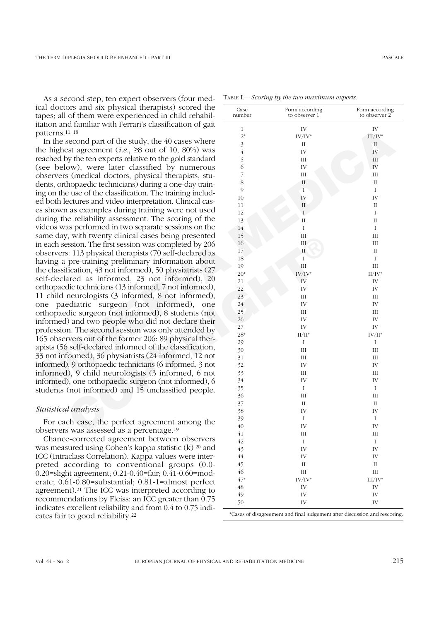As a second step, ten expert observers (four medical doctors and six physical therapists) scored the tapes; all of them were experienced in child rehabilitation and familiar with Ferrari's classification of gait patterns.11, 18

**Matterns** 44. <sup>18</sup> and the steady the study, the 40 cases where  $\frac{2}{3}$  and the steady by the energy researched by the material of the steady of the political of the sected by the sected by the sected by munerous secti 7, with twenty clinical cases being presented<br>
session. The first session was completed by 206<br>
is: 113 physical therapists (70 self-declared as<br>
is: 113 physical therapists (70 self-declared as<br>
in pre-training prelimina In the second part of the study, the 40 cases where the highest agreement (*i.e.*,  $\geq$ 8 out of 10, 80%) was reached by the ten experts relative to the gold standard (see below), were later classified by numerous observers (medical doctors, physical therapists, students, orthopaedic technicians) during a one-day training on the use of the classification. The training included both lectures and video interpretation. Clinical cases shown as examples during training were not used during the reliability assessment. The scoring of the videos was performed in two separate sessions on the same day, with twenty clinical cases being presented in each session. The first session was completed by 206 observers: 113 physical therapists (70 self-declared as having a pre-training preliminary information about the classification, 43 not informed), 50 physiatrists (27 self-declared as informed, 23 not informed), 20 orthopaedic technicians (13 informed, 7 not informed), 11 child neurologists (3 informed, 8 not informed), one paediatric surgeon (not informed), one orthopaedic surgeon (not informed), 8 students (not informed) and two people who did not declare their profession. The second session was only attended by 165 observers out of the former 206: 89 physical therapists (56 self-declared informed of the classification, 33 not informed), 36 physiatrists (24 informed, 12 not informed), 9 orthopaedic technicians (6 informed, 3 not informed), 9 child neurologists (3 informed, 6 not informed), one orthopaedic surgeon (not informed), 6 students (not informed) and 15 unclassified people.

# *Statistical analysis*

For each case, the perfect agreement among the observers was assessed as a percentage.19

Chance-corrected agreement between observers was measured using Cohen's kappa statistic (k) 20 and ICC (Intraclass Correlation). Kappa values were interpreted according to conventional groups (0.0- 0.20=slight agreement; 0.21-0.40=fair; 0.41-0.60=moderate; 0.61-0.80=substantial; 0.81-1=almost perfect agreement).21 The ICC was interpreted according to recommendations by Fleiss: an ICC greater than 0.75 indicates excellent reliability and from 0.4 to 0.75 indicates fair to good reliability.22

| Case<br>number          | Form according<br>to observer 1 | Form according<br>to observer 2 |
|-------------------------|---------------------------------|---------------------------------|
| $1\,$                   | ${\rm IV}$                      | IV                              |
| $2*$                    | $\rm IV/IV^*$                   | $\rm III/IV^*$                  |
| $\overline{\mathbf{3}}$ | $\rm II$                        | $\rm II$                        |
| $\overline{4}$          | ${\rm IV}$                      | $\rm IV$                        |
| 5                       | III                             | $\rm III$                       |
| 6                       | IV                              | IV                              |
| $\overline{7}$          | III                             | $\rm III$                       |
| 8                       | $\rm II$                        | $\rm _{II}$                     |
| 9                       | $\overline{I}$                  | $\rm I$                         |
| 10                      | IV                              | IV                              |
| 11                      | $\rm II$                        | $\rm _{II}$                     |
| 12                      | $\rm I$                         | $\rm I$                         |
| 13                      | $\rm II$                        | $\rm II$                        |
| 14                      | I                               | $\rm I$                         |
| 15                      | III                             | III                             |
| 16                      | III                             | III                             |
| 17                      | $\rm II$                        | $_{\rm II}$                     |
| 18                      | I                               | $\rm I$                         |
| 19                      | Ш                               | III                             |
| $20*$                   | $\rm IV/IV^*$                   | $\rm II/IV^*$                   |
| 21                      | IV                              | IV                              |
| 22                      | ${\rm IV}$                      | IV                              |
| 23                      | III                             | $\rm III$                       |
| 24                      | $\bar{\rm IV}$                  | IV                              |
| 25                      | III                             | Ш                               |
| 26                      | IV                              | IV                              |
| 27                      | ${\rm IV}$                      | IV                              |
| $28*$                   | $\rm II/II^*$                   | $\rm IV/II^*$                   |
| 29                      | I                               | $\rm I$                         |
| 30                      | $\rm III$                       | $III$                           |
| 31                      | $III$                           | $\rm III$                       |
| 32                      | ${\rm IV}$                      | ${\rm IV}$                      |
| 33                      | $III$                           | $\rm III$                       |
| 34                      | IV                              | IV                              |
| 35                      | I                               | $\rm I$                         |
| 36                      | III                             | Ш                               |
| 37                      | $\rm II$                        | $_{\rm II}$                     |
| 38                      | IV                              | IV                              |
| 39                      | $\rm I$                         | $\rm I$                         |
| 40                      | IV                              | IV                              |
| 41                      | III                             | $\mathop{\rm III}\nolimits$     |
| 42                      | I                               | I                               |
| 43                      | ${\rm IV}$                      | IV                              |
| $44$                    | ${\rm IV}$                      | IV                              |
| 45                      | $\rm II$                        | $\rm II$                        |
| 46                      | $\rm III$                       | $\rm III$                       |
| $47*$                   | $\rm IV/IV^*$                   | $III/IV^*$                      |
| $48\,$                  | IV                              | ${\rm IV}$                      |
| 49                      | ${\rm IV}$                      | ${\rm IV}$                      |
| 50                      | IV                              | IV                              |

TABLE I.—*Scoring by the two maximum experts.*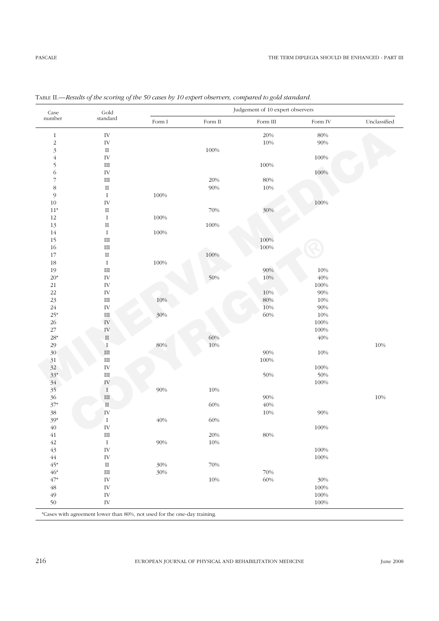| $\rm Case$               | $\operatorname{Gold}$ |              | Judgement of 10 expert observers |          |                 |              |  |  |  |  |
|--------------------------|-----------------------|--------------|----------------------------------|----------|-----------------|--------------|--|--|--|--|
| number                   | standard              | Form $\rm I$ | Form $\rm II$                    | Form III | Form ${\rm IV}$ | Unclassified |  |  |  |  |
| $\,1$                    | ${\rm IV}$            |              |                                  | 20%      | $80\%$          |              |  |  |  |  |
| $\sqrt{2}$               | ${\rm IV}$            |              |                                  | $10\%$   | $90\%$          |              |  |  |  |  |
| $\overline{\mathbf{3}}$  | $\rm II$              |              | $100\%$                          |          |                 |              |  |  |  |  |
| $\acute{4}$              | ${\rm IV}$            |              |                                  |          | $100\%$         |              |  |  |  |  |
|                          | $\rm III$             |              |                                  | $100\%$  |                 |              |  |  |  |  |
| $\frac{5}{6}$            | ${\rm IV}$            |              |                                  |          | 100%            |              |  |  |  |  |
| $\overline{\phantom{a}}$ | $\rm III$             |              | 20%                              | $80\%$   |                 |              |  |  |  |  |
| $\,$ 8 $\,$              | $\rm II$              |              | 90%                              | $10\%$   |                 |              |  |  |  |  |
| $\mathfrak{g}$           | $\rm I$               | $100\%$      |                                  |          |                 |              |  |  |  |  |
| $10\,$                   | ${\rm IV}$            |              |                                  |          | 100%            |              |  |  |  |  |
| $11^*$                   | $\rm II$              |              | 70%                              | 30%      |                 |              |  |  |  |  |
| $12\,$                   | $\bf{I}$              | $100\%$      |                                  |          |                 |              |  |  |  |  |
| 13                       | $\rm II$              |              | $100\%$                          |          |                 |              |  |  |  |  |
| $14\,$                   | $\rm I$               | $100\%$      |                                  |          |                 |              |  |  |  |  |
| $15\,$                   | $\rm III$             |              |                                  | 100%     |                 |              |  |  |  |  |
| $16\,$                   | $\rm III$             |              |                                  | $100\%$  |                 |              |  |  |  |  |
| $17\,$                   | $\rm II$              |              | 100%                             |          |                 |              |  |  |  |  |
| $18\,$                   | $\rm I$               | $100\%$      |                                  |          |                 |              |  |  |  |  |
| 19                       | $\rm III$             |              |                                  | 90%      | $10\%$          |              |  |  |  |  |
| $20*$                    | ${\rm IV}$            |              | 50%                              | $10\%$   | 40%             |              |  |  |  |  |
| 21                       | ${\rm IV}$            |              |                                  |          | $100\%$         |              |  |  |  |  |
| $22\,$                   | ${\rm IV}$            |              |                                  | $10\%$   | 90%             |              |  |  |  |  |
| 23                       | $\rm III$             | $10\%$       |                                  | $80\%$   | $10\%$          |              |  |  |  |  |
| $24\,$                   | ${\rm IV}$            |              |                                  | $10\%$   | $90\%$          |              |  |  |  |  |
| $25*$                    | $\rm III$             | 30%          |                                  | 60%      | $10\%$          |              |  |  |  |  |
| 26                       | ${\rm IV}$            |              |                                  |          | $100\%$         |              |  |  |  |  |
| 27                       | ${\rm IV}$            |              |                                  |          | 100%            |              |  |  |  |  |
| $28*$                    | $\rm II$              |              | 60%                              |          | 40%             |              |  |  |  |  |
| 29                       | $\mathbf I$           | $80\%$       | $10\%$                           |          |                 | $10\%$       |  |  |  |  |
| 30                       | $\rm III$             |              |                                  | 90%      | 10%             |              |  |  |  |  |
| 31                       | $\rm III$             |              |                                  | $100\%$  |                 |              |  |  |  |  |
| 32                       | ${\rm IV}$            |              |                                  |          | $100\%$         |              |  |  |  |  |
| $33*$                    | $\rm III$             |              |                                  | 50%      | 50%             |              |  |  |  |  |
| $34\,$                   | ${\rm IV}$            |              |                                  |          | $100\%$         |              |  |  |  |  |
| 35                       | $\;$ I                | 90%          | $10\%$                           |          |                 |              |  |  |  |  |
| 36                       | $\rm III$             |              |                                  | 90%      |                 | 10%          |  |  |  |  |
| $37*$                    | $\rm II$              |              | 60%                              | $40\%$   |                 |              |  |  |  |  |
| 38                       | ${\rm IV}$            |              |                                  | $10\%$   | $90\%$          |              |  |  |  |  |
| $39*$                    | $\mathbf I$           | 40%          | 60%                              |          |                 |              |  |  |  |  |
| $40\,$                   | ${\rm IV}$            |              |                                  |          | 100%            |              |  |  |  |  |
| $41\,$                   | $\rm III$             |              | $20\%$                           | $80\%$   |                 |              |  |  |  |  |
| $42\,$                   | $\;$ I                | 90%          | $10\%$                           |          |                 |              |  |  |  |  |
| 43                       | ${\rm IV}$            |              |                                  |          | $100\%$         |              |  |  |  |  |
| $\sqrt{44}$              | ${\rm IV}$            |              |                                  |          | $100\%$         |              |  |  |  |  |
| $45*$                    | $\;$ II               | 30%          | $70\%$                           |          |                 |              |  |  |  |  |
| $46*$                    | $\rm III$             | $30\%$       |                                  | $70\%$   |                 |              |  |  |  |  |
| $47^{\ast}$              | ${\rm IV}$            |              | $10\%$                           | 60%      | 30%             |              |  |  |  |  |
| $\sqrt{48}$              | ${\rm IV}$            |              |                                  |          | $100\%$         |              |  |  |  |  |
| $49\,$                   | ${\rm IV}$            |              |                                  |          | $100\%$         |              |  |  |  |  |
| 50                       | ${\rm IV}$            |              |                                  |          | $100\%$         |              |  |  |  |  |
|                          |                       |              |                                  |          |                 |              |  |  |  |  |

TABLE II.—*Results of the scoring of the 50 cases by 10 expert observers, compared to gold standard.*

\*Cases with agreement lower than 80%, not used for the one-day training.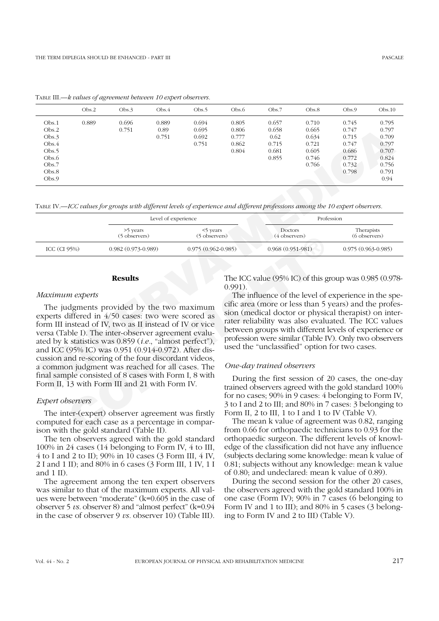|                 | Obs.2 | Obs.3                                                                                                                                                                                                                                                                                                                                                                                                    | Obs.4               | Obs.5                     | Obs.6                                                                                                                                                                                                                                                                                                                                     | Obs.7                                                                                                     | Obs.8      | Obs.9                       | Obs.10               |  |
|-----------------|-------|----------------------------------------------------------------------------------------------------------------------------------------------------------------------------------------------------------------------------------------------------------------------------------------------------------------------------------------------------------------------------------------------------------|---------------------|---------------------------|-------------------------------------------------------------------------------------------------------------------------------------------------------------------------------------------------------------------------------------------------------------------------------------------------------------------------------------------|-----------------------------------------------------------------------------------------------------------|------------|-----------------------------|----------------------|--|
| Obs.1           | 0.889 | 0.696                                                                                                                                                                                                                                                                                                                                                                                                    | 0.889               | 0.694                     | 0.805                                                                                                                                                                                                                                                                                                                                     | 0.657                                                                                                     | 0.710      | 0.745                       | 0.795                |  |
| Obs.2           |       | 0.751                                                                                                                                                                                                                                                                                                                                                                                                    | 0.89                | 0.695                     | 0.806                                                                                                                                                                                                                                                                                                                                     | 0.658                                                                                                     | 0.665      | 0.747                       | 0.797                |  |
| Obs.3           |       |                                                                                                                                                                                                                                                                                                                                                                                                          | 0.751               | 0.692                     | 0.777                                                                                                                                                                                                                                                                                                                                     | 0.62                                                                                                      | 0.634      | 0.715                       | 0.709                |  |
| Obs.4           |       |                                                                                                                                                                                                                                                                                                                                                                                                          |                     | 0.751                     | 0.862                                                                                                                                                                                                                                                                                                                                     | 0.715                                                                                                     | 0.721      | 0.747                       | 0.797                |  |
| Obs.5           |       |                                                                                                                                                                                                                                                                                                                                                                                                          |                     |                           | 0.804                                                                                                                                                                                                                                                                                                                                     | 0.681                                                                                                     | 0.605      | 0.686                       | 0.707                |  |
| Obs.6           |       |                                                                                                                                                                                                                                                                                                                                                                                                          |                     |                           |                                                                                                                                                                                                                                                                                                                                           | 0.855                                                                                                     | 0.746      | 0.772                       | 0.824                |  |
| Obs.7           |       |                                                                                                                                                                                                                                                                                                                                                                                                          |                     |                           |                                                                                                                                                                                                                                                                                                                                           |                                                                                                           | 0.766      | 0.732                       | 0.756                |  |
| Obs.8           |       |                                                                                                                                                                                                                                                                                                                                                                                                          |                     |                           |                                                                                                                                                                                                                                                                                                                                           |                                                                                                           |            | 0.798                       | 0.791                |  |
| Obs.9           |       |                                                                                                                                                                                                                                                                                                                                                                                                          |                     |                           |                                                                                                                                                                                                                                                                                                                                           |                                                                                                           |            |                             | 0.94                 |  |
|                 |       | TABLE IV.—ICC values for groups with different levels of experience and different professions among the 10 expert observers.                                                                                                                                                                                                                                                                             | Level of experience |                           |                                                                                                                                                                                                                                                                                                                                           |                                                                                                           | Profession |                             |                      |  |
|                 |       | >5 years<br>(5 observers)                                                                                                                                                                                                                                                                                                                                                                                |                     | <5 years<br>(5 observers) | Doctors<br>(4 observers)                                                                                                                                                                                                                                                                                                                  |                                                                                                           |            | Therapists<br>(6 observers) |                      |  |
| ICC (CI 95%)    |       | $0.982(0.973-0.989)$                                                                                                                                                                                                                                                                                                                                                                                     |                     | $0.975(0.962 - 0.985)$    |                                                                                                                                                                                                                                                                                                                                           | $0.968(0.951-981)$                                                                                        |            |                             | $0.975(0.963-0.985)$ |  |
|                 |       | <b>Results</b>                                                                                                                                                                                                                                                                                                                                                                                           |                     |                           | $0.991$ ).                                                                                                                                                                                                                                                                                                                                | The ICC value (95% IC) of this group was 0.985 (0.978                                                     |            |                             |                      |  |
| Maximum experts |       |                                                                                                                                                                                                                                                                                                                                                                                                          |                     |                           |                                                                                                                                                                                                                                                                                                                                           | The influence of the level of experience in the spe                                                       |            |                             |                      |  |
|                 |       | The judgments provided by the two maximum<br>experts differed in 4/50 cases: two were scored as<br>form III instead of IV, two as II instead of IV or vice<br>versa (Table I). The inter-observer agreement evalu-<br>ated by k statistics was 0.859 ( <i>i.e.</i> , "almost perfect"),<br>and ICC (95% IC) was 0.951 (0.914-0.972). After dis-<br>cussion and re-scoring of the four discordant videos, |                     |                           | cific area (more or less than 5 years) and the profes<br>sion (medical doctor or physical therapist) on inter<br>rater reliability was also evaluated. The ICC values<br>between groups with different levels of experience of<br>profession were similar (Table IV). Only two observers<br>used the "unclassified" option for two cases. |                                                                                                           |            |                             |                      |  |
|                 |       | a common judgment was reached for all cases. The                                                                                                                                                                                                                                                                                                                                                         |                     |                           |                                                                                                                                                                                                                                                                                                                                           | One-day trained observers                                                                                 |            |                             |                      |  |
|                 |       | final sample consisted of 8 cases with Form I, 8 with<br>Form II, 13 with Form III and 21 with Form IV.                                                                                                                                                                                                                                                                                                  |                     |                           |                                                                                                                                                                                                                                                                                                                                           | During the first session of 20 cases, the one-day<br>trained observers agreed with the gold standard 100% |            |                             |                      |  |

TABLE III.—*k values of agreement between 10 expert observers.*

|                  |                           | Level of experience       |                                 | Profession                  |
|------------------|---------------------------|---------------------------|---------------------------------|-----------------------------|
|                  | >5 years<br>(5 observers) | <5 years<br>(5 observers) | <b>Doctors</b><br>(4 observers) | Therapists<br>(6 observers) |
| ICC $(CI\ 95\%)$ | $0.982(0.973-0.989)$      | $0.975(0.962-0.985)$      | $0.968(0.951-981)$              | $0.975(0.963-0.985)$        |
|                  |                           |                           |                                 |                             |

# **Results**

#### *Maximum experts*

<sup>C</sup> observers)<br>
(3 observers)<br>
(4 observers)<br>
(4 observers)<br>
(4 observers)<br>
(4 observers)<br>
(4 observers)<br>
(4 observers)<br>
(4 observers)<br>
(4 observers)<br>
(4 observers)<br>
(4 observers)<br>
(4 observers)<br>
(4 observers)<br>
(4 observer The judgments provided by the two maximum experts differed in 4/50 cases: two were scored as form III instead of IV, two as II instead of IV or vice versa (Table I). The inter-observer agreement evaluated by k statistics was 0.859 (*i.e.*, "almost perfect"), and ICC (95% IC) was 0.951 (0.914-0.972). After discussion and re-scoring of the four discordant videos, a common judgment was reached for all cases. The final sample consisted of 8 cases with Form I, 8 with Form II, 13 with Form III and 21 with Form IV.

### *Expert observers*

The inter-(expert) observer agreement was firstly computed for each case as a percentage in comparison with the gold standard (Table II).

The ten observers agreed with the gold standard 100% in 24 cases (14 belonging to Form IV, 4 to III, 4 to I and 2 to II); 90% in 10 cases (3 Form III, 4 IV, 2 I and 1 II); and 80% in 6 cases (3 Form III, 1 IV, 1 I and  $1$  II).

The agreement among the ten expert observers was similar to that of the maximum experts. All values were between "moderate" (k=0.605 in the case of observer 5 *vs.* observer 8) and "almost perfect" (k=0.94 in the case of observer 9 *vs.* observer 10) (Table III).

### *One-day trained observers*

During the first session of 20 cases, the one-day trained observers agreed with the gold standard 100% for no cases; 90% in 9 cases: 4 belonging to Form IV, 3 to I and 2 to III; and 80% in 7 cases: 3 belonging to Form II, 2 to III, 1 to I and 1 to IV (Table V).

The mean k value of agreement was 0.82, ranging from 0.66 for orthopaedic technicians to 0.93 for the orthopaedic surgeon. The different levels of knowledge of the classification did not have any influence (subjects declaring some knowledge: mean k value of 0.81; subjects without any knowledge: mean k value of 0.80; and undeclared: mean k value of 0.89).

During the second session for the other 20 cases, the observers agreed with the gold standard 100% in one case (Form IV); 90% in 7 cases (6 belonging to Form IV and 1 to III); and 80% in 5 cases (3 belonging to Form IV and 2 to III) (Table V).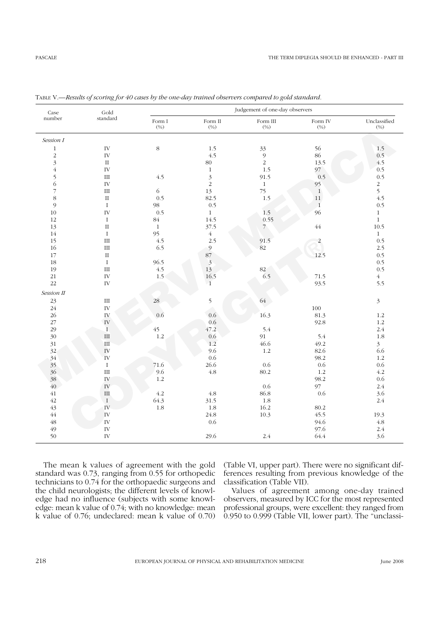| Case                     | $\operatorname{Gold}$       | Judgement of one-day observers                                             |                         |                                                                                       |                |                      |  |
|--------------------------|-----------------------------|----------------------------------------------------------------------------|-------------------------|---------------------------------------------------------------------------------------|----------------|----------------------|--|
| number                   | standard                    | Form I $\left(\!\! \begin{smallmatrix} 0 \ 0 \end{smallmatrix}\!\!\right)$ | Form $\rm II$<br>(%)    | Form III $\left(\!\begin{smallmatrix} 0 & \infty \\ 0 & 0 \end{smallmatrix}\!\right)$ |                | Unclassified<br>(%)  |  |
| Session I                |                             |                                                                            |                         |                                                                                       |                |                      |  |
| $\,1\,$                  | IV                          | $8\,$                                                                      | 1.5                     | 33                                                                                    | 56             | 1.5                  |  |
| $\sqrt{2}$               | IV                          |                                                                            | 4.5                     | $\mathfrak g$                                                                         | 86             | 0.5                  |  |
| $\overline{3}$           | $\rm II$                    |                                                                            | 80                      | $\overline{2}$                                                                        | 13.5           | 4.5                  |  |
| $\overline{4}$           | $\bar{\rm IV}$              |                                                                            | $\,1$                   | 1.5                                                                                   | 97             | 0.5                  |  |
| $\mathfrak{S}$           | $\rm III$                   | 4.5                                                                        | $\mathfrak{Z}$          | 91.5                                                                                  | 0.5            | 0.5                  |  |
| $\overline{6}$           | IV                          |                                                                            | $\sqrt{2}$              | $\,1$                                                                                 | 95             | $\frac{2}{5}$<br>4.5 |  |
| $\overline{\mathcal{I}}$ | $\rm III$                   | $\sqrt{6}$                                                                 | 13                      | 75                                                                                    | $\,1\,$        |                      |  |
| $\,8\,$                  | $\;$ II                     | 0.5                                                                        | 82.5                    | 1.5                                                                                   | $11\,$         |                      |  |
| $\mathfrak{g}$           | $\rm I$                     | 98                                                                         | $0.5\,$                 |                                                                                       | $\overline{1}$ | 0.5                  |  |
| 10                       | IV                          | 0.5                                                                        | $\mathbf{1}$            | 1.5                                                                                   | 96             | $\mathbf{1}$         |  |
| $12\,$                   | $\rm I$                     | $84\,$                                                                     | 14.5                    | 0.55                                                                                  |                | $\,1\,$              |  |
| 13                       | $\rm II$                    | $1\,$                                                                      | 37.5                    | $\overline{7}$                                                                        | $\sqrt{44}$    | 10.5                 |  |
| $14\,$                   | $\rm I$                     | 95                                                                         | $\overline{4}$          |                                                                                       |                | $\,1\,$              |  |
| 15                       | $\mathop{\rm III}\nolimits$ | 4.5                                                                        | 2.5                     | 91.5                                                                                  | $\overline{a}$ | 0.5                  |  |
| 16                       | $\rm III$                   | 6.5                                                                        | $\mathfrak{g}$          | $82\,$                                                                                |                | 2.5                  |  |
| 17                       | $\rm II$                    |                                                                            | $87\,$                  |                                                                                       | 12.5           | 0.5                  |  |
| 18                       | $\rm I$                     | 96.5                                                                       | $\overline{\mathbf{3}}$ |                                                                                       |                | 0.5                  |  |
| 19                       | $\mathop{\rm III}\nolimits$ | 4.5                                                                        | 13                      | $82\,$                                                                                |                | 0.5                  |  |
| $21\,$                   | $\bar{\rm IV}$              | 1.5                                                                        | 16.5                    | 6.5                                                                                   | 71.5           | $\sqrt{4}$           |  |
| $22\,$                   | $\bar{\rm IV}$              |                                                                            | $\bar{1}$               |                                                                                       | 93.5           | 5.5                  |  |
| Session II               |                             |                                                                            |                         |                                                                                       |                |                      |  |
| 23                       | $\mathop{\rm III}\nolimits$ | 28                                                                         | 5                       | 64                                                                                    |                | $\sqrt{3}$           |  |
| $24\,$                   | $\bar{\rm IV}$              |                                                                            |                         |                                                                                       | $100\,$        |                      |  |
| $26\,$                   | ${\rm IV}$                  | 0.6                                                                        | 0.6                     | 16.3                                                                                  | 81.3           | 1.2                  |  |
| $27\,$                   | ${\rm IV}$                  |                                                                            | 0.6                     |                                                                                       | 92.8           | 1.2                  |  |
| 29                       | $\mathbf I$                 | $45\,$                                                                     | 47.2                    | 5.4                                                                                   |                | 2.4                  |  |
| 30                       | $\mathop{\rm III}\nolimits$ | $1.2\,$                                                                    | 0.6                     | 91                                                                                    | 5.4            | $1.8\,$              |  |
| 31                       | $\rm III$                   |                                                                            | 1.2                     | 46.6                                                                                  | 49.2           | $\mathfrak{Z}$       |  |
| 32                       | ${\rm IV}$                  |                                                                            | 9.6                     | 1.2                                                                                   | 82.6           | 6.6                  |  |
| 34                       | ${\rm IV}$                  |                                                                            | 0.6                     |                                                                                       | 98.2           | 1.2                  |  |
| 35                       | $\rm I$                     | 71.6                                                                       | 26.6                    | 0.6                                                                                   | 0.6            | 0.6                  |  |
| 36                       | $\mathop{\rm III}\nolimits$ | 9.6                                                                        | $4.8\,$                 | 80.2                                                                                  | 1.2            | 4.2                  |  |
| 38                       | ${\rm IV}$                  | 1.2                                                                        |                         |                                                                                       | 98.2           | 0.6                  |  |
| 40                       | ${\rm IV}$                  |                                                                            |                         | 0.6                                                                                   | 97             | 2.4                  |  |
| 41                       | $\mathop{\rm III}\nolimits$ | 4.2                                                                        | $4.8\,$                 | 86.8                                                                                  | 0.6            | 3.6                  |  |
| $42\,$                   | $\rm I$                     | 64.3                                                                       | 31.5                    | $1.8\,$                                                                               |                | $2.4\,$              |  |
| $43\,$                   | $\bar{\rm IV}$              | $1.8\,$                                                                    | $1.8\,$                 | 16.2                                                                                  | 80.2           |                      |  |
| $44$                     | IV                          |                                                                            | 24.8                    | 10.3                                                                                  | 45.5           | 19.3                 |  |
| $\sqrt{48}$              | IV                          |                                                                            | 0.6                     |                                                                                       | 94.6           | $4.8\,$              |  |
| 49                       | $\bar{\rm IV}$              |                                                                            |                         |                                                                                       | 97.6           | 2.4                  |  |
| 50                       | ${\rm IV}$                  |                                                                            | 29.6                    | 2.4                                                                                   | 64.4           | 3.6                  |  |
|                          |                             |                                                                            |                         |                                                                                       |                |                      |  |

TABLE V.—*Results of scoring for 40 cases by the one-day trained observers compared to gold standard.*

The mean k values of agreement with the gold standard was 0.73, ranging from 0.55 for orthopedic technicians to 0.74 for the orthopaedic surgeons and the child neurologists; the different levels of knowledge had no influence (subjects with some knowledge: mean k value of 0.74; with no knowledge: mean k value of 0.76; undeclared: mean k value of 0.70) (Table VI, upper part). There were no significant differences resulting from previous knowledge of the classification (Table VII).

Values of agreement among one-day trained observers, measured by ICC for the most represented professional groups, were excellent: they ranged from 0.950 to 0.999 (Table VII, lower part). The "unclassi-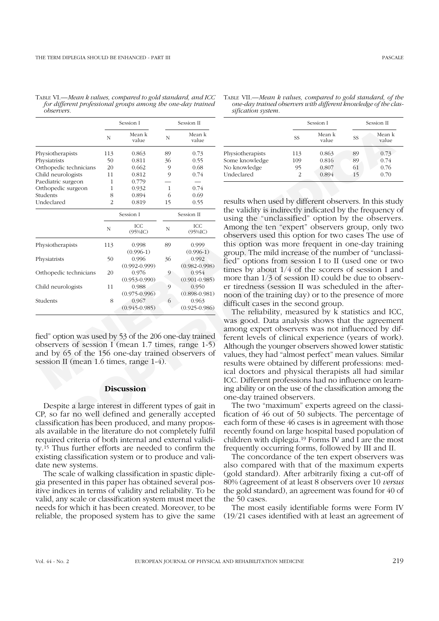TABLE VI.—*Mean k values, compared to gold standard, and ICC for different professional groups among the one-day trained observers.*

|                                                                                                                                                                                                              | Session I      |                            | Session II |                            |                                                                                                                                                                                                                                                                                                                                                                                                                                             |     | Session I       |    | Session II      |
|--------------------------------------------------------------------------------------------------------------------------------------------------------------------------------------------------------------|----------------|----------------------------|------------|----------------------------|---------------------------------------------------------------------------------------------------------------------------------------------------------------------------------------------------------------------------------------------------------------------------------------------------------------------------------------------------------------------------------------------------------------------------------------------|-----|-----------------|----|-----------------|
|                                                                                                                                                                                                              | N              | Mean k<br>value            | N          | Mean k<br>value            |                                                                                                                                                                                                                                                                                                                                                                                                                                             | SS  | Mean k<br>value | SS | Mean k<br>value |
| Physiotherapists                                                                                                                                                                                             | 113            | 0.863                      | 89         | 0.73                       | Physiotherapists                                                                                                                                                                                                                                                                                                                                                                                                                            | 113 | 0.863           | 89 | 0.73            |
| Physiatrists                                                                                                                                                                                                 | 50             | 0.811                      | 36         | 0.55                       | Some knowledge                                                                                                                                                                                                                                                                                                                                                                                                                              | 109 | 0.816           | 89 | 0.74            |
| Orthopedic technicians                                                                                                                                                                                       | 20             | 0.662                      | 9          | 0.68                       | No knowledge                                                                                                                                                                                                                                                                                                                                                                                                                                | 95  | 0.807           | 61 | 0.76            |
| Child neurologists                                                                                                                                                                                           | 11             | 0.812                      | 9          | 0.74                       | Undeclared                                                                                                                                                                                                                                                                                                                                                                                                                                  | 2   | 0.894           | 15 | 0.70            |
| Paediatric surgeon                                                                                                                                                                                           | $\mathbf{1}$   | 0.779                      |            |                            |                                                                                                                                                                                                                                                                                                                                                                                                                                             |     |                 |    |                 |
| Orthopedic surgeon                                                                                                                                                                                           | $\mathbf{1}$   | 0.932                      | 1          | 0.74                       |                                                                                                                                                                                                                                                                                                                                                                                                                                             |     |                 |    |                 |
| Students                                                                                                                                                                                                     | 8              | 0.894                      | 6          | 0.69                       |                                                                                                                                                                                                                                                                                                                                                                                                                                             |     |                 |    |                 |
| Undeclared                                                                                                                                                                                                   | $\overline{2}$ | 0.819                      | 15         | 0.55                       | results when used by different observers. In this student                                                                                                                                                                                                                                                                                                                                                                                   |     |                 |    |                 |
|                                                                                                                                                                                                              |                | Session I                  |            | Session II                 | the validity is indirectly indicated by the frequency<br>using the "unclassified" option by the observer                                                                                                                                                                                                                                                                                                                                    |     |                 |    |                 |
|                                                                                                                                                                                                              | Ν              | ICC<br>$(95\%$ IC)         | Ν          | ICC<br>$(95\%$ IC)         | Among the ten "expert" observers group, only two<br>observers used this option for two cases The use                                                                                                                                                                                                                                                                                                                                        |     |                 |    |                 |
| Physiotherapists                                                                                                                                                                                             | 113            | 0.998<br>$(0.996-1)$       | 89         | 0.999<br>$(0.996-1)$       | this option was more frequent in one-day training<br>group. The mild increase of the number of "unclass"                                                                                                                                                                                                                                                                                                                                    |     |                 |    |                 |
| Physiatrists                                                                                                                                                                                                 | 50             | 0.996<br>$(0.992 - 0.999)$ | 36         | 0.992<br>$(0.982 - 0.998)$ | fied" options from session I to II (used one or two                                                                                                                                                                                                                                                                                                                                                                                         |     |                 |    |                 |
| Orthopedic technicians                                                                                                                                                                                       | 20             | 0.976<br>$(0.953 - 0.990)$ | 9          | 0.954<br>$(0.901 - 0.985)$ | times by about $1/4$ of the scorers of session I are<br>more than $1/3$ of session II) could be due to obser                                                                                                                                                                                                                                                                                                                                |     |                 |    |                 |
| Child neurologists                                                                                                                                                                                           | 11             | 0.988<br>$(0.975 - 0.996)$ | 9          | 0.950<br>$(0.898 - 0.981)$ | er tiredness (session II was scheduled in the after<br>noon of the training day) or to the presence of mo                                                                                                                                                                                                                                                                                                                                   |     |                 |    |                 |
| Students                                                                                                                                                                                                     | 8              | 0.967<br>$(0.945 - 0.985)$ | 6          | 0.963<br>$(0.925 - 0.986)$ | difficult cases in the second group.<br>The reliability, measured by k statistics and IC                                                                                                                                                                                                                                                                                                                                                    |     |                 |    |                 |
| fied" option was used by 53 of the 206 one-day trained<br>observers of session I (mean 1.7 times, range 1-5)<br>and by 65 of the 156 one-day trained observers of<br>session II (mean 1.6 times, range 1-4). |                |                            |            |                            | was good. Data analysis shows that the agreeme<br>among expert observers was not influenced by d<br>ferent levels of clinical experience (years of work<br>Although the younger observers showed lower statistic<br>values, they had "almost perfect" mean values. Simil<br>results were obtained by different professions: me<br>ical doctors and physical therapists all had simil<br>ICC. Different professions had no influence on lear |     |                 |    |                 |
|                                                                                                                                                                                                              |                | <b>Discussion</b>          |            |                            | ing ability or on the use of the classification among the<br>one-day trained observers.                                                                                                                                                                                                                                                                                                                                                     |     |                 |    |                 |
| Despite a large interest in different types of gait in                                                                                                                                                       |                |                            |            |                            | The two "maximum" experts agreed on the class                                                                                                                                                                                                                                                                                                                                                                                               |     |                 |    |                 |
| CP, so far no well defined and generally accepted                                                                                                                                                            |                |                            |            |                            | fication of 46 out of 50 subjects. The percentage                                                                                                                                                                                                                                                                                                                                                                                           |     |                 |    |                 |
| classification has been produced, and many propos-                                                                                                                                                           |                |                            |            |                            | each form of these 46 cases is in agreement with tho                                                                                                                                                                                                                                                                                                                                                                                        |     |                 |    |                 |
| als available in the literature do not completely fulfil                                                                                                                                                     |                |                            |            |                            | recently found on large hospital based population                                                                                                                                                                                                                                                                                                                                                                                           |     |                 |    |                 |
|                                                                                                                                                                                                              |                |                            |            |                            |                                                                                                                                                                                                                                                                                                                                                                                                                                             |     |                 |    |                 |

#### **Discussion**

Despite a large interest in different types of gait in CP, so far no well defined and generally accepted classification has been produced, and many proposals available in the literature do not completely fulfil required criteria of both internal and external validity.15 Thus further efforts are needed to confirm the existing classification system or to produce and validate new systems.

The scale of walking classification in spastic diplegia presented in this paper has obtained several positive indices in terms of validity and reliability. To be valid, any scale or classification system must meet the needs for which it has been created. Moreover, to be reliable, the proposed system has to give the same

|                  |     | Session I       | Session II |                 |  |
|------------------|-----|-----------------|------------|-----------------|--|
|                  | SS  | Mean k<br>value | SS         | Mean k<br>value |  |
| Physiotherapists | 113 | 0.863           | 89         | 0.73            |  |
| Some knowledge   | 109 | 0.816           | 89         | 0.74            |  |
| No knowledge     | 95  | 0.807           | 61         | 0.76            |  |
| Undeclared       | 2   | 0.894           | 15         | 0.70            |  |

The two "maximum" experts agreed on the classification of 46 out of 50 subjects. The percentage of each form of these 46 cases is in agreement with those recently found on large hospital based population of children with diplegia.19 Forms IV and I are the most frequently occurring forms, followed by III and II.

The concordance of the ten expert observers was also compared with that of the maximum experts (gold standard). After arbitrarily fixing a cut-off of 80% (agreement of at least 8 observers over 10 *versus* the gold standard), an agreement was found for 40 of the 50 cases.

The most easily identifiable forms were Form IV (19/21 cases identified with at least an agreement of